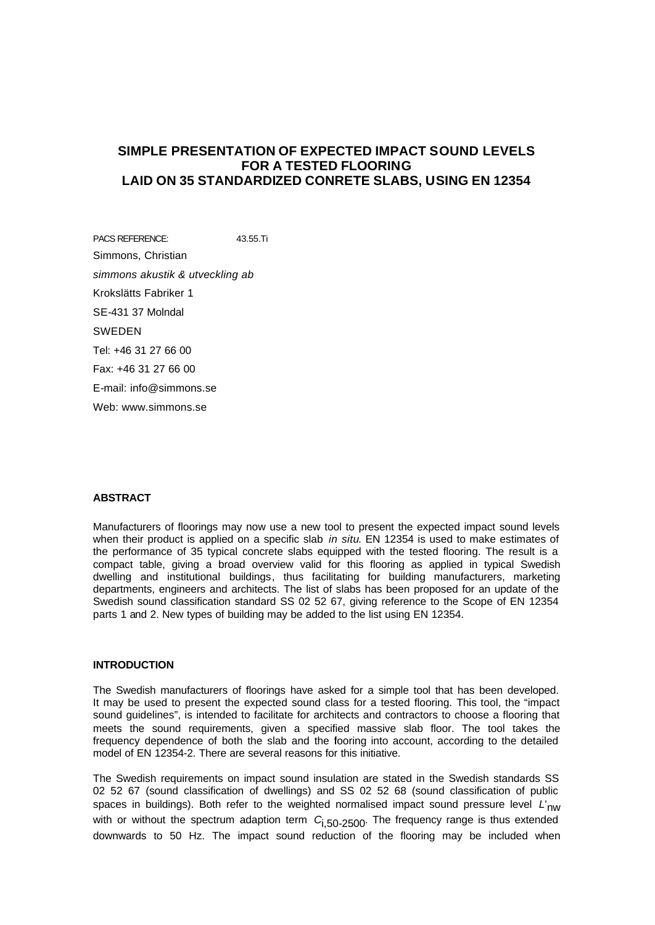# **SIMPLE PRESENTATION OF EXPECTED IMPACT SOUND LEVELS FOR A TESTED FLOORING LAID ON 35 STANDARDIZED CONRETE SLABS, USING EN 12354**

PACS REFERENCE: 43.55.Ti Simmons, Christian *simmons akustik & utveckling ab* Krokslätts Fabriker 1 SE-431 37 Molndal SWEDEN Tel: +46 31 27 66 00 Fax: +46 31 27 66 00 E-mail: info@simmons.se Web: www.simmons.se

#### **ABSTRACT**

Manufacturers of floorings may now use a new tool to present the expected impact sound levels when their product is applied on a specific slab *in situ*. EN 12354 is used to make estimates of the performance of 35 typical concrete slabs equipped with the tested flooring. The result is a compact table, giving a broad overview valid for this flooring as applied in typical Swedish dwelling and institutional buildings, thus facilitating for building manufacturers, marketing departments, engineers and architects. The list of slabs has been proposed for an update of the Swedish sound classification standard SS 02 52 67, giving reference to the Scope of EN 12354 parts 1 and 2. New types of building may be added to the list using EN 12354.

#### **INTRODUCTION**

The Swedish manufacturers of floorings have asked for a simple tool that has been developed. It may be used to present the expected sound class for a tested flooring. This tool, the "impact sound guidelines", is intended to facilitate for architects and contractors to choose a flooring that meets the sound requirements, given a specified massive slab floor. The tool takes the frequency dependence of both the slab and the fooring into account, according to the detailed model of EN 12354-2. There are several reasons for this initiative.

The Swedish requirements on impact sound insulation are stated in the Swedish standards SS 02 52 67 (sound classification of dwellings) and SS 02 52 68 (sound classification of public spaces in buildings). Both refer to the weighted normalised impact sound pressure level *L'*<sub>nw</sub> with or without the spectrum adaption term  $C_{1,50-2500}$ . The frequency range is thus extended downwards to 50 Hz. The impact sound reduction of the flooring may be included when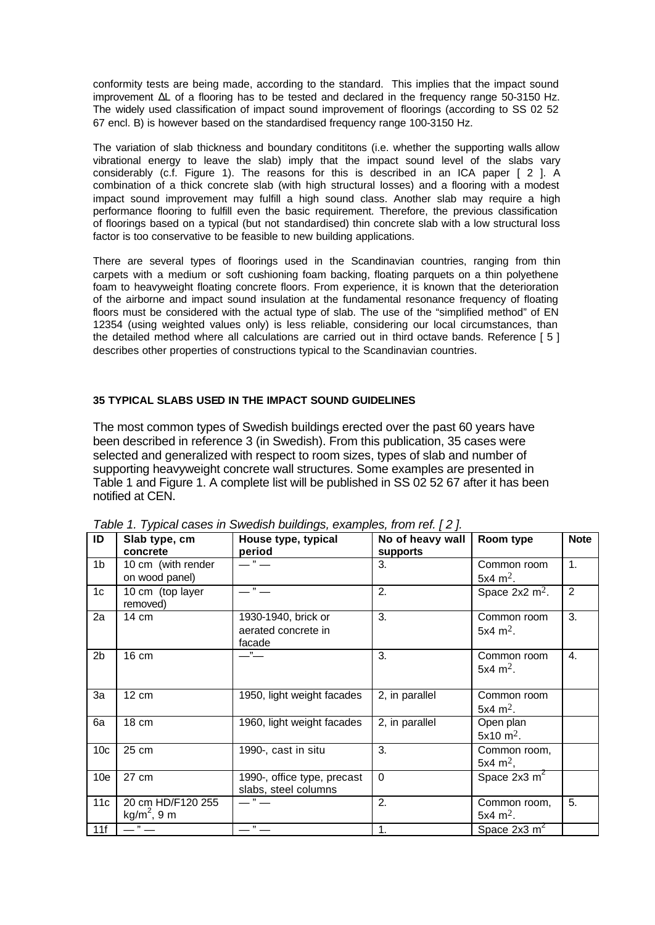conformity tests are being made, according to the standard. This implies that the impact sound improvement ΔL of a flooring has to be tested and declared in the frequency range 50-3150 Hz. The widely used classification of impact sound improvement of floorings (according to SS 02 52 67 encl. B) is however based on the standardised frequency range 100-3150 Hz.

The variation of slab thickness and boundary condititons (i.e. whether the supporting walls allow vibrational energy to leave the slab) imply that the impact sound level of the slabs vary considerably (c.f. Figure 1). The reasons for this is described in an ICA paper [ 2 ]. A combination of a thick concrete slab (with high structural losses) and a flooring with a modest impact sound improvement may fulfill a high sound class. Another slab may require a high performance flooring to fulfill even the basic requirement. Therefore, the previous classification of floorings based on a typical (but not standardised) thin concrete slab with a low structural loss factor is too conservative to be feasible to new building applications.

There are several types of floorings used in the Scandinavian countries, ranging from thin carpets with a medium or soft cushioning foam backing, floating parquets on a thin polyethene foam to heavyweight floating concrete floors. From experience, it is known that the deterioration of the airborne and impact sound insulation at the fundamental resonance frequency of floating floors must be considered with the actual type of slab. The use of the "simplified method" of EN 12354 (using weighted values only) is less reliable, considering our local circumstances, than the detailed method where all calculations are carried out in third octave bands. Reference [ 5 ] describes other properties of constructions typical to the Scandinavian countries.

### **35 TYPICAL SLABS USED IN THE IMPACT SOUND GUIDELINES**

The most common types of Swedish buildings erected over the past 60 years have been described in reference 3 (in Swedish). From this publication, 35 cases were selected and generalized with respect to room sizes, types of slab and number of supporting heavyweight concrete wall structures. Some examples are presented in Table 1 and Figure 1. A complete list will be published in SS 02 52 67 after it has been notified at CEN.

| $\overline{1}$  | Slab type, cm<br>concrete                    | House type, typical<br>period                        | No of heavy wall<br>supports | Room type                            | <b>Note</b> |
|-----------------|----------------------------------------------|------------------------------------------------------|------------------------------|--------------------------------------|-------------|
| 1 <sub>b</sub>  | 10 cm (with render<br>on wood panel)         | $\overline{\phantom{a}}$ " $\overline{\phantom{a}}$  | 3.                           | Common room<br>5x4 m <sup>2</sup> .  | 1.          |
| 1 <sub>c</sub>  | 10 cm (top layer<br>removed)                 | $\mathbf{H}$                                         | 2.                           | Space $2x2$ m <sup>2</sup> .         | 2           |
| 2a              | 14 cm                                        | 1930-1940, brick or<br>aerated concrete in<br>facade | 3.                           | Common room<br>5x4 $m^2$ .           | 3.          |
| 2 <sub>b</sub>  | 16 cm                                        | $\mathbf{H}$                                         | 3.                           | Common room<br>5x4 $m^2$ .           | 4.          |
| 3a              | 12 cm                                        | 1950, light weight facades                           | 2, in parallel               | Common room<br>5x4 $m^2$ .           |             |
| 6a              | 18 cm                                        | 1960, light weight facades                           | 2, in parallel               | Open plan<br>$5x10 \text{ m}^2$ .    |             |
| 10 <sub>c</sub> | 25 cm                                        | 1990-, cast in situ                                  | 3.                           | Common room,<br>5x4 $m^2$ ,          |             |
| 10 <sub>e</sub> | 27 cm                                        | 1990-, office type, precast<br>slabs, steel columns  | $\Omega$                     | Space $2x3 \overline{m}^2$           |             |
| 11 <sub>c</sub> | 20 cm HD/F120 255<br>kg/m <sup>2</sup> , 9 m | $\cdot$ " $\cdot$ "                                  | 2.                           | Common room,<br>5x4 m <sup>2</sup> . | 5.          |
| 11f             | —" —                                         | $\overline{\mathcal{F}}$                             | 1.                           | Space $2x3 \text{ m}^2$              |             |

*Table 1. Typical cases in Swedish buildings, examples, from ref. [ 2 ].*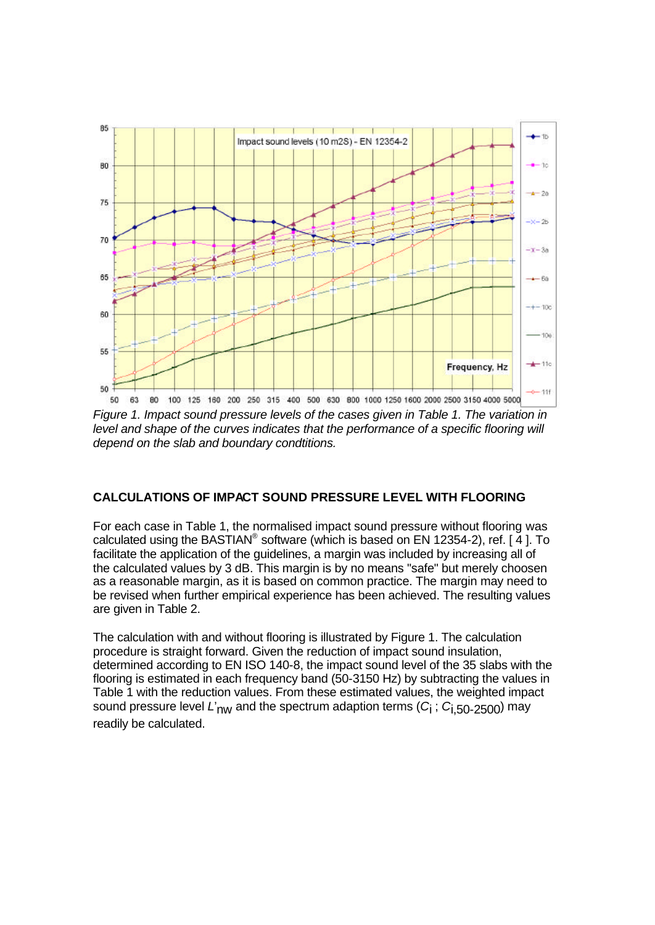

*Figure 1. Impact sound pressure levels of the cases given in Table 1. The variation in level and shape of the curves indicates that the performance of a specific flooring will depend on the slab and boundary condtitions.*

# **CALCULATIONS OF IMPACT SOUND PRESSURE LEVEL WITH FLOORING**

For each case in Table 1, the normalised impact sound pressure without flooring was calculated using the BASTIAN® software (which is based on EN 12354-2), ref. [4]. To facilitate the application of the guidelines, a margin was included by increasing all of the calculated values by 3 dB. This margin is by no means "safe" but merely choosen as a reasonable margin, as it is based on common practice. The margin may need to be revised when further empirical experience has been achieved. The resulting values are given in Table 2.

The calculation with and without flooring is illustrated by Figure 1. The calculation procedure is straight forward. Given the reduction of impact sound insulation, determined according to EN ISO 140-8, the impact sound level of the 35 slabs with the flooring is estimated in each frequency band (50-3150 Hz) by subtracting the values in Table 1 with the reduction values. From these estimated values, the weighted impact sound pressure level *L*'nw and the spectrum adaption terms (*C*i ; *C*i,50-2500) may readily be calculated.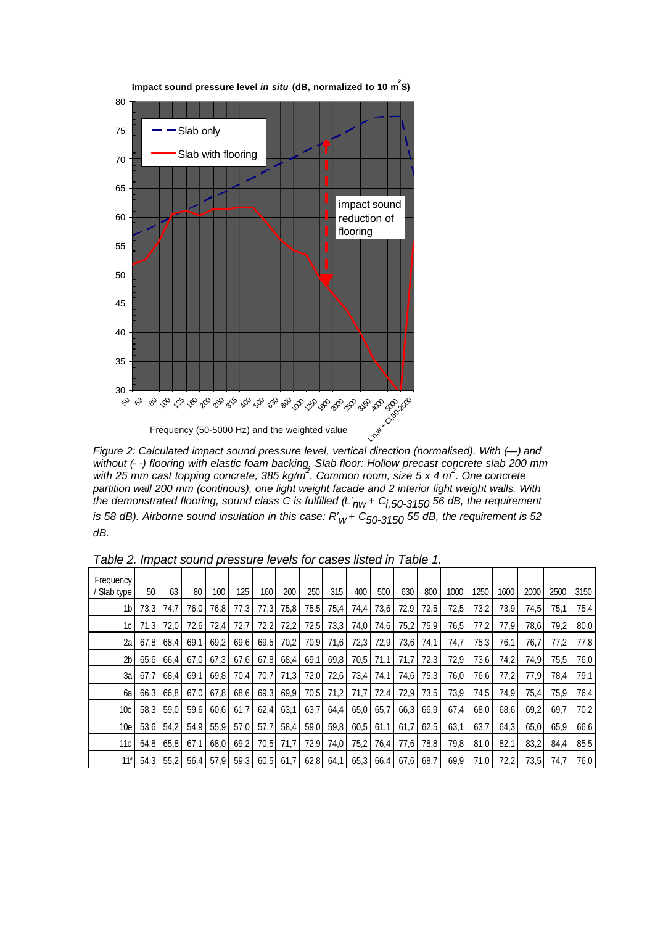

**Impact sound pressure level** *in situ* **(dB, normalized to 10 m<sup>2</sup> S)**

*Figure 2: Calculated impact sound pressure level, vertical direction (normalised). With (—) and without (- -) flooring with elastic foam backing. Slab floor: Hollow precast concrete slab 200 mm with 25 mm cast topping concrete, 385 kg/m<sup>2</sup> . Common room, size 5 x 4 m<sup>2</sup> . One concrete partition wall 200 mm (continous), one light weight facade and 2 interior light weight walls. With the demonstrated flooring, sound class C is fulfilled (L'nw + Ci,50-3150 56 dB, the requirement is 58 dB). Airborne sound insulation in this case: R'w + C50-3150 55 dB, the requirement is 52 dB.*

| rapic 2. mipaci sodna pressare levels for cases listed in Table 1. |      |           |      |           |      |      |      |      |      |                                         |           |      |      |      |      |      |      |      |      |
|--------------------------------------------------------------------|------|-----------|------|-----------|------|------|------|------|------|-----------------------------------------|-----------|------|------|------|------|------|------|------|------|
| Frequency<br>' Slab type                                           | 50   | 63        | 80   | 100       | 125  | 160  | 200  | 250  | 315  | 400                                     | 500       | 630  | 800  | 1000 | 1250 | 1600 | 2000 | 2500 | 3150 |
| 1 <sub>b</sub>                                                     | 73.3 | 74.7      | 76.0 | 76.8      | 77,3 | 77.3 | 75,8 | 75,5 | 75,4 | 74,4                                    | 73,6      | 72,9 | 72,5 | 72,5 | 73,2 | 73.9 | 74.5 | 75.1 | 75,4 |
| 1c                                                                 | 71,3 | 72,0      | 72,6 | 72,4      | 72,7 | 72,2 | 72,2 | 72,5 | 73,3 | 74,0                                    | 74,6      | 75,2 | 75,9 | 76,5 | 77,2 | 77,9 | 78,6 | 79,2 | 80,0 |
| 2a                                                                 | 67.8 | 68.4      | 69.1 | 69,2      | 69,6 | 69,5 | 70.2 | 70,9 | 71,6 | 72,3                                    | 72,9      | 73,6 | 74,1 | 74,7 | 75,3 | 76.1 | 76.7 | 77.2 | 77,8 |
| 2 <sub>b</sub>                                                     | 65,6 | 66.4      | 67.0 | 67,3      | 67,6 | 67,8 | 68,4 | 69,1 | 69,8 | 70,5                                    | 71.1      | 71.7 | 72,3 | 72.9 | 73,6 | 74.2 | 74.9 | 75,5 | 76,0 |
| 3a                                                                 | 67.7 | 68,4      | 69.1 | 69,8      | 70.4 | 70.7 | 71,3 | 72,0 | 72,6 | 73,4                                    | 74,1      | 74,6 | 75,3 | 76,0 | 76,6 | 77.2 | 77.9 | 78.4 | 79,1 |
| 6a                                                                 | 66.3 | 66.8      | 67.0 | 67,8      | 68,6 | 69,3 | 69,9 | 70,5 | 71.2 | 71.7                                    | 72,4      | 72,9 | 73,5 | 73.9 | 74,5 | 74.9 | 75.4 | 75.9 | 76,4 |
| 10c                                                                | 58.3 | 59.0      | 59.6 | 60,6      | 61.7 | 62,4 | 63,1 | 63,7 | 64,4 | $65,0$ 65,7                             |           | 66,3 | 66,9 | 67.4 | 68,0 | 68,6 | 69.2 | 69.7 | 70.2 |
| 10e                                                                | 53,6 | 54,2      | 54.9 | 55,9      | 57,0 | 57,7 | 58,4 | 59,0 | 59,8 |                                         | 60,5 61,1 | 61,7 | 62,5 | 63,1 | 63,7 | 64,3 | 65,0 | 65.9 | 66,6 |
| 11с                                                                | 64.8 | 65,8      | 67.1 | 68,0      | 69,2 | 70,5 | 71.7 | 72,9 | 74,0 | 75,2                                    | 76,4      | 77,6 | 78,8 | 79,8 | 81,0 | 82.1 | 83.2 | 84.4 | 85,5 |
| 11f                                                                |      | 54.3 55.2 |      | 56,4 57,9 | 59,3 |      |      |      |      | 60,5 61,7 62,8 64,1 65,3 66,4 67,6 68,7 |           |      |      | 69,9 | 71.0 | 72.2 | 73.5 | 74.7 | 76.0 |

*Table 2. Impact sound pressure levels for cases listed in Table 1.*